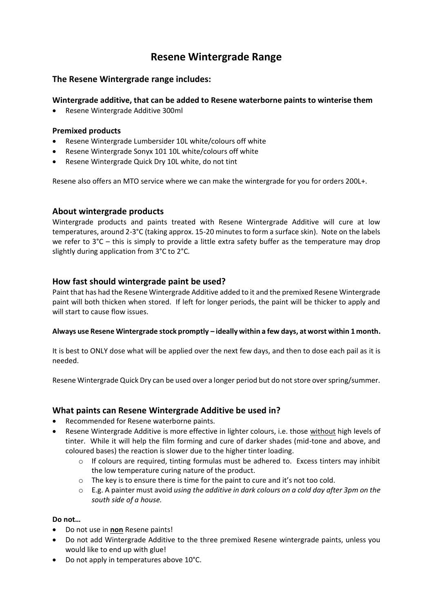# **Resene Wintergrade Range**

#### **The Resene Wintergrade range includes:**

#### **Wintergrade additive, that can be added to Resene waterborne paints to winterise them**

• Resene Wintergrade Additive 300ml

#### **Premixed products**

- Resene Wintergrade Lumbersider 10L white/colours off white
- Resene Wintergrade Sonyx 101 10L white/colours off white
- Resene Wintergrade Quick Dry 10L white, do not tint

Resene also offers an MTO service where we can make the wintergrade for you for orders 200L+.

#### **About wintergrade products**

Wintergrade products and paints treated with Resene Wintergrade Additive will cure at low temperatures, around 2-3°C (taking approx. 15-20 minutes to form a surface skin). Note on the labels we refer to  $3^{\circ}$ C – this is simply to provide a little extra safety buffer as the temperature may drop slightly during application from 3°C to 2°C.

#### **How fast should wintergrade paint be used?**

Paint that has had the Resene Wintergrade Additive added to it and the premixed Resene Wintergrade paint will both thicken when stored. If left for longer periods, the paint will be thicker to apply and will start to cause flow issues.

#### **Always use Resene Wintergrade stock promptly – ideally within a few days, at worst within 1 month.**

It is best to ONLY dose what will be applied over the next few days, and then to dose each pail as it is needed.

Resene Wintergrade Quick Dry can be used over a longer period but do not store over spring/summer.

#### **What paints can Resene Wintergrade Additive be used in?**

- Recommended for Resene waterborne paints.
- Resene Wintergrade Additive is more effective in lighter colours, i.e. those without high levels of tinter. While it will help the film forming and cure of darker shades (mid-tone and above, and coloured bases) the reaction is slower due to the higher tinter loading.
	- $\circ$  If colours are required, tinting formulas must be adhered to. Excess tinters may inhibit the low temperature curing nature of the product.
	- o The key is to ensure there is time for the paint to cure and it's not too cold.
	- o E.g. A painter must avoid *using the additive in dark colours on a cold day after 3pm on the south side of a house.*

#### **Do not…**

- Do not use in **non** Resene paints!
- Do not add Wintergrade Additive to the three premixed Resene wintergrade paints, unless you would like to end up with glue!
- Do not apply in temperatures above 10°C.